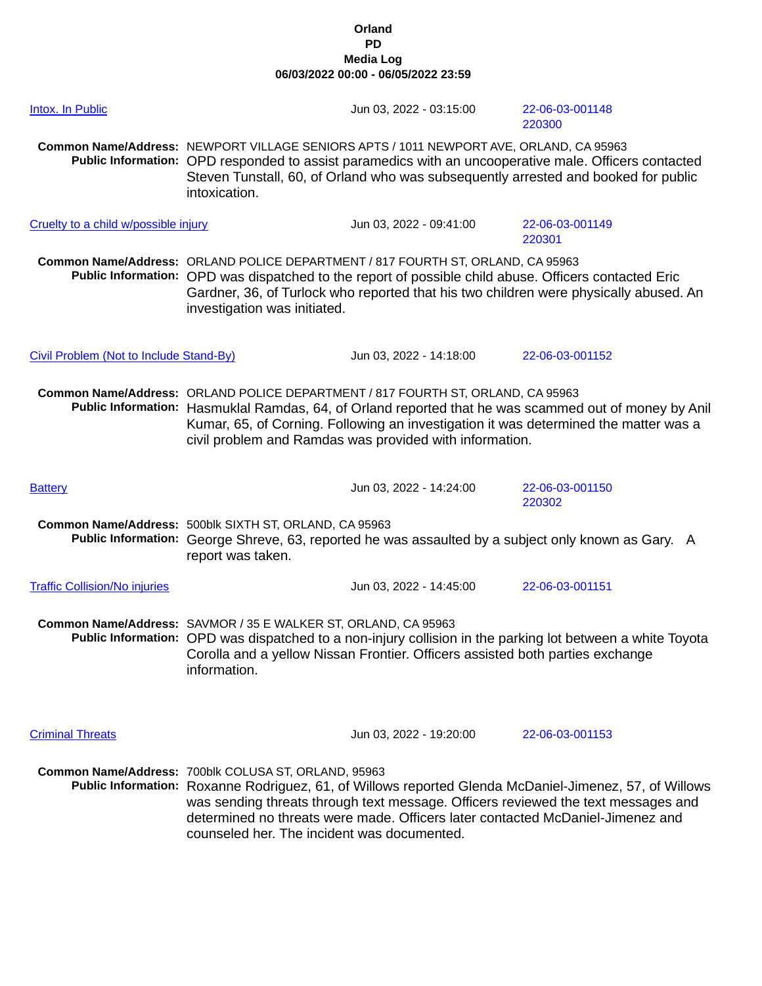| <b>Intox. In Public</b>                 |                                                                                                                                                                                                                                                                                                                                             | Jun 03, 2022 - 03:15:00                                                                                                                                                                  | 22-06-03-001148<br>220300                                                                                                                                                                   |
|-----------------------------------------|---------------------------------------------------------------------------------------------------------------------------------------------------------------------------------------------------------------------------------------------------------------------------------------------------------------------------------------------|------------------------------------------------------------------------------------------------------------------------------------------------------------------------------------------|---------------------------------------------------------------------------------------------------------------------------------------------------------------------------------------------|
|                                         | intoxication.                                                                                                                                                                                                                                                                                                                               | Common Name/Address: NEWPORT VILLAGE SENIORS APTS / 1011 NEWPORT AVE, ORLAND, CA 95963                                                                                                   | Public Information: OPD responded to assist paramedics with an uncooperative male. Officers contacted<br>Steven Tunstall, 60, of Orland who was subsequently arrested and booked for public |
| Cruelty to a child w/possible injury    |                                                                                                                                                                                                                                                                                                                                             | Jun 03, 2022 - 09:41:00                                                                                                                                                                  | 22-06-03-001149<br>220301                                                                                                                                                                   |
|                                         | investigation was initiated.                                                                                                                                                                                                                                                                                                                | Common Name/Address: ORLAND POLICE DEPARTMENT / 817 FOURTH ST, ORLAND, CA 95963<br>Public Information: OPD was dispatched to the report of possible child abuse. Officers contacted Eric | Gardner, 36, of Turlock who reported that his two children were physically abused. An                                                                                                       |
| Civil Problem (Not to Include Stand-By) |                                                                                                                                                                                                                                                                                                                                             | Jun 03, 2022 - 14:18:00                                                                                                                                                                  | 22-06-03-001152                                                                                                                                                                             |
|                                         | Common Name/Address: ORLAND POLICE DEPARTMENT / 817 FOURTH ST, ORLAND, CA 95963<br>Public Information: Hasmuklal Ramdas, 64, of Orland reported that he was scammed out of money by Anil<br>Kumar, 65, of Corning. Following an investigation it was determined the matter was a<br>civil problem and Ramdas was provided with information. |                                                                                                                                                                                          |                                                                                                                                                                                             |
| <b>Battery</b>                          |                                                                                                                                                                                                                                                                                                                                             | Jun 03, 2022 - 14:24:00                                                                                                                                                                  | 22-06-03-001150<br>220302                                                                                                                                                                   |
|                                         | Common Name/Address: 500blk SIXTH ST, ORLAND, CA 95963<br>report was taken.                                                                                                                                                                                                                                                                 |                                                                                                                                                                                          | Public Information: George Shreve, 63, reported he was assaulted by a subject only known as Gary. A                                                                                         |
| <b>Traffic Collision/No injuries</b>    |                                                                                                                                                                                                                                                                                                                                             | Jun 03, 2022 - 14:45:00                                                                                                                                                                  | 22-06-03-001151                                                                                                                                                                             |
|                                         | Common Name/Address: SAVMOR / 35 E WALKER ST, ORLAND, CA 95963<br>Public Information: OPD was dispatched to a non-injury collision in the parking lot between a white Toyota<br>Corolla and a yellow Nissan Frontier. Officers assisted both parties exchange<br>information.                                                               |                                                                                                                                                                                          |                                                                                                                                                                                             |
| <b>Criminal Threats</b>                 |                                                                                                                                                                                                                                                                                                                                             | Jun 03, 2022 - 19:20:00                                                                                                                                                                  | 22-06-03-001153                                                                                                                                                                             |
|                                         | Common Name/Address: 700blk COLUSA ST, ORLAND, 95963<br>counseled her. The incident was documented.                                                                                                                                                                                                                                         | determined no threats were made. Officers later contacted McDaniel-Jimenez and                                                                                                           | Public Information: Roxanne Rodriguez, 61, of Willows reported Glenda McDaniel-Jimenez, 57, of Willows<br>was sending threats through text message. Officers reviewed the text messages and |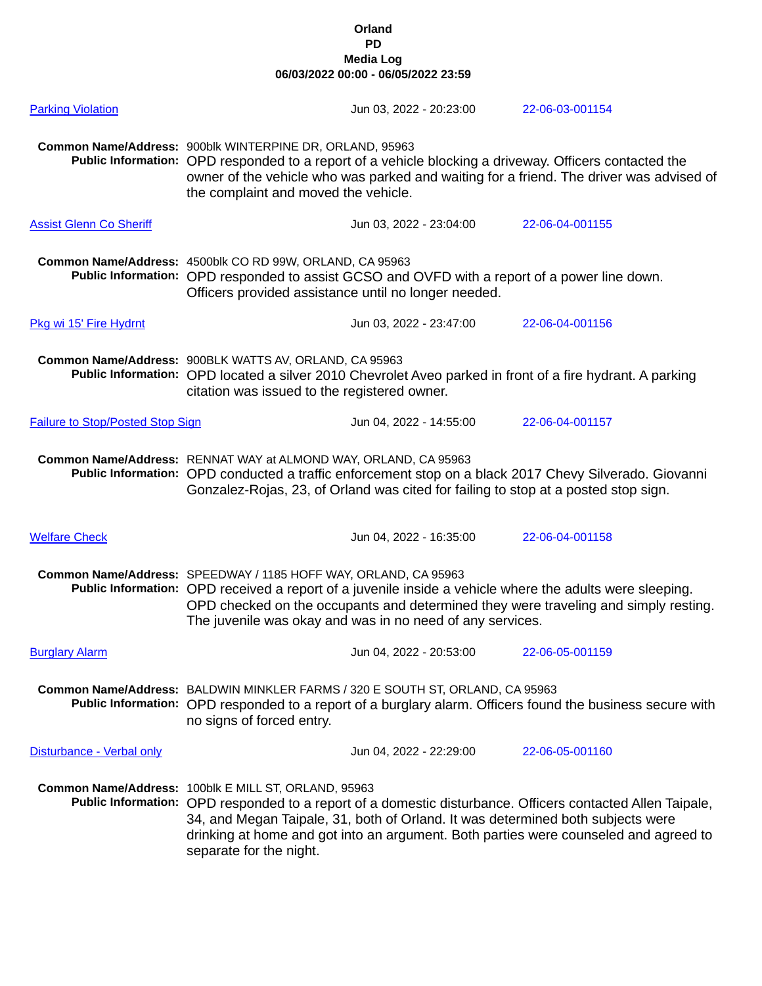| <b>Parking Violation</b>                |                                                                                                                                                                                                                                                                                                                                 | Jun 03, 2022 - 20:23:00                                                            | 22-06-03-001154                                                                                                                                                                                    |
|-----------------------------------------|---------------------------------------------------------------------------------------------------------------------------------------------------------------------------------------------------------------------------------------------------------------------------------------------------------------------------------|------------------------------------------------------------------------------------|----------------------------------------------------------------------------------------------------------------------------------------------------------------------------------------------------|
|                                         | Common Name/Address: 900blk WINTERPINE DR, ORLAND, 95963<br>the complaint and moved the vehicle.                                                                                                                                                                                                                                |                                                                                    | Public Information: OPD responded to a report of a vehicle blocking a driveway. Officers contacted the<br>owner of the vehicle who was parked and waiting for a friend. The driver was advised of  |
| <b>Assist Glenn Co Sheriff</b>          |                                                                                                                                                                                                                                                                                                                                 | Jun 03, 2022 - 23:04:00                                                            | 22-06-04-001155                                                                                                                                                                                    |
|                                         | Common Name/Address: 4500blk CO RD 99W, ORLAND, CA 95963<br>Public Information: OPD responded to assist GCSO and OVFD with a report of a power line down.<br>Officers provided assistance until no longer needed.                                                                                                               |                                                                                    |                                                                                                                                                                                                    |
| Pkg wi 15' Fire Hydrnt                  |                                                                                                                                                                                                                                                                                                                                 | Jun 03, 2022 - 23:47:00                                                            | 22-06-04-001156                                                                                                                                                                                    |
|                                         | Common Name/Address: 900BLK WATTS AV, ORLAND, CA 95963<br>citation was issued to the registered owner.                                                                                                                                                                                                                          |                                                                                    | Public Information: OPD located a silver 2010 Chevrolet Aveo parked in front of a fire hydrant. A parking                                                                                          |
| <b>Failure to Stop/Posted Stop Sign</b> |                                                                                                                                                                                                                                                                                                                                 | Jun 04, 2022 - 14:55:00                                                            | 22-06-04-001157                                                                                                                                                                                    |
|                                         | Common Name/Address: RENNAT WAY at ALMOND WAY, ORLAND, CA 95963                                                                                                                                                                                                                                                                 | Gonzalez-Rojas, 23, of Orland was cited for failing to stop at a posted stop sign. | Public Information: OPD conducted a traffic enforcement stop on a black 2017 Chevy Silverado. Giovanni                                                                                             |
| <b>Welfare Check</b>                    |                                                                                                                                                                                                                                                                                                                                 | Jun 04, 2022 - 16:35:00                                                            | 22-06-04-001158                                                                                                                                                                                    |
|                                         | Common Name/Address: SPEEDWAY / 1185 HOFF WAY, ORLAND, CA 95963<br>Public Information: OPD received a report of a juvenile inside a vehicle where the adults were sleeping.<br>OPD checked on the occupants and determined they were traveling and simply resting.<br>The juvenile was okay and was in no need of any services. |                                                                                    |                                                                                                                                                                                                    |
| <b>Burglary Alarm</b>                   |                                                                                                                                                                                                                                                                                                                                 | Jun 04, 2022 - 20:53:00                                                            | 22-06-05-001159                                                                                                                                                                                    |
|                                         | Common Name/Address: BALDWIN MINKLER FARMS / 320 E SOUTH ST, ORLAND, CA 95963<br>Public Information: OPD responded to a report of a burglary alarm. Officers found the business secure with<br>no signs of forced entry.                                                                                                        |                                                                                    |                                                                                                                                                                                                    |
| Disturbance - Verbal only               |                                                                                                                                                                                                                                                                                                                                 | Jun 04, 2022 - 22:29:00                                                            | 22-06-05-001160                                                                                                                                                                                    |
|                                         | Common Name/Address: 100blk E MILL ST, ORLAND, 95963<br>separate for the night.                                                                                                                                                                                                                                                 | 34, and Megan Taipale, 31, both of Orland. It was determined both subjects were    | Public Information: OPD responded to a report of a domestic disturbance. Officers contacted Allen Taipale,<br>drinking at home and got into an argument. Both parties were counseled and agreed to |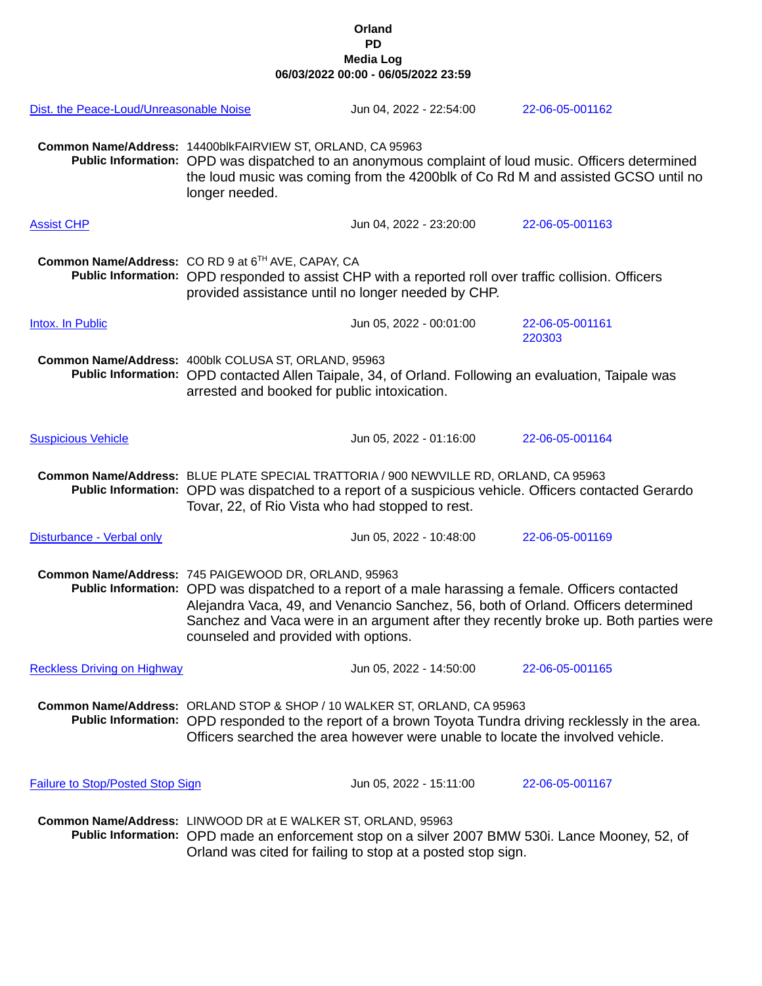| Dist. the Peace-Loud/Unreasonable Noise |                                                                                                                                                                                                                                                                                                                                                                                  | Jun 04, 2022 - 22:54:00                                                                                                                                    | 22-06-05-001162                                                                                          |  |
|-----------------------------------------|----------------------------------------------------------------------------------------------------------------------------------------------------------------------------------------------------------------------------------------------------------------------------------------------------------------------------------------------------------------------------------|------------------------------------------------------------------------------------------------------------------------------------------------------------|----------------------------------------------------------------------------------------------------------|--|
|                                         | Common Name/Address: 14400blkFAIRVIEW ST, ORLAND, CA 95963<br>Public Information: OPD was dispatched to an anonymous complaint of loud music. Officers determined<br>the loud music was coming from the 4200blk of Co Rd M and assisted GCSO until no<br>longer needed.                                                                                                          |                                                                                                                                                            |                                                                                                          |  |
| <b>Assist CHP</b>                       |                                                                                                                                                                                                                                                                                                                                                                                  | Jun 04, 2022 - 23:20:00                                                                                                                                    | 22-06-05-001163                                                                                          |  |
|                                         | Common Name/Address: CO RD 9 at 6 <sup>TH</sup> AVE, CAPAY, CA<br>Public Information: OPD responded to assist CHP with a reported roll over traffic collision. Officers<br>provided assistance until no longer needed by CHP.                                                                                                                                                    |                                                                                                                                                            |                                                                                                          |  |
| Intox. In Public                        |                                                                                                                                                                                                                                                                                                                                                                                  | Jun 05, 2022 - 00:01:00                                                                                                                                    | 22-06-05-001161<br>220303                                                                                |  |
|                                         | Common Name/Address: 400blk COLUSA ST, ORLAND, 95963<br>Public Information: OPD contacted Allen Taipale, 34, of Orland. Following an evaluation, Taipale was<br>arrested and booked for public intoxication.                                                                                                                                                                     |                                                                                                                                                            |                                                                                                          |  |
| <b>Suspicious Vehicle</b>               |                                                                                                                                                                                                                                                                                                                                                                                  | Jun 05, 2022 - 01:16:00                                                                                                                                    | 22-06-05-001164                                                                                          |  |
|                                         | Common Name/Address: BLUE PLATE SPECIAL TRATTORIA / 900 NEWVILLE RD, ORLAND, CA 95963<br>Public Information: OPD was dispatched to a report of a suspicious vehicle. Officers contacted Gerardo<br>Tovar, 22, of Rio Vista who had stopped to rest.                                                                                                                              |                                                                                                                                                            |                                                                                                          |  |
| Disturbance - Verbal only               |                                                                                                                                                                                                                                                                                                                                                                                  | Jun 05, 2022 - 10:48:00                                                                                                                                    | 22-06-05-001169                                                                                          |  |
|                                         | Common Name/Address: 745 PAIGEWOOD DR, ORLAND, 95963<br>Public Information: OPD was dispatched to a report of a male harassing a female. Officers contacted<br>Alejandra Vaca, 49, and Venancio Sanchez, 56, both of Orland. Officers determined<br>Sanchez and Vaca were in an argument after they recently broke up. Both parties were<br>counseled and provided with options. |                                                                                                                                                            |                                                                                                          |  |
| <b>Reckless Driving on Highway</b>      |                                                                                                                                                                                                                                                                                                                                                                                  | Jun 05, 2022 - 14:50:00                                                                                                                                    | 22-06-05-001165                                                                                          |  |
|                                         |                                                                                                                                                                                                                                                                                                                                                                                  | Common Name/Address: ORLAND STOP & SHOP / 10 WALKER ST, ORLAND, CA 95963<br>Officers searched the area however were unable to locate the involved vehicle. | Public Information: OPD responded to the report of a brown Toyota Tundra driving recklessly in the area. |  |
| <b>Failure to Stop/Posted Stop Sign</b> |                                                                                                                                                                                                                                                                                                                                                                                  | Jun 05, 2022 - 15:11:00                                                                                                                                    | 22-06-05-001167                                                                                          |  |
|                                         | Common Name/Address: LINWOOD DR at E WALKER ST, ORLAND, 95963                                                                                                                                                                                                                                                                                                                    | Orland was cited for failing to stop at a posted stop sign.                                                                                                | Public Information: OPD made an enforcement stop on a silver 2007 BMW 530i. Lance Mooney, 52, of         |  |